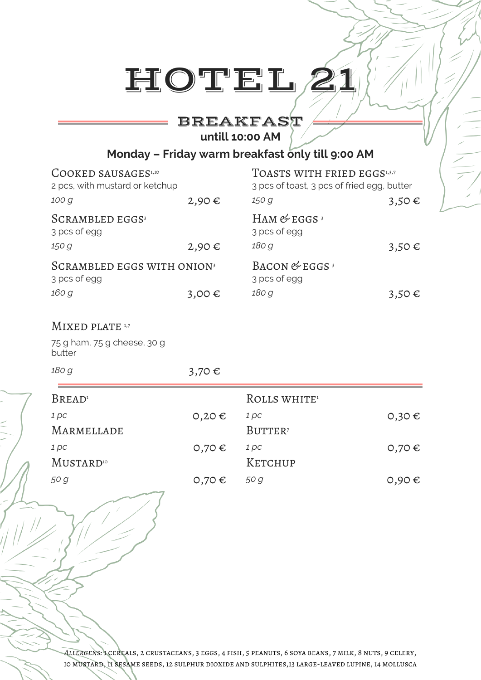# BREAKFAST

**untill 10:00 AM**

## **Monday – Friday warm breakfast only till 9:00 AM**

| COOKED SAUSAGES <sup>1,10</sup><br>2 pcs, with mustard or ketchup |            | TOASTS WITH FRIED EGGS1,3,7<br>3 pcs of toast, 3 pcs of fried egg, butter |            |
|-------------------------------------------------------------------|------------|---------------------------------------------------------------------------|------------|
| 100 g                                                             | 2,90€      | 150 g                                                                     | $3,50 \in$ |
| <b>SCRAMBLED EGGS3</b><br>3 pcs of egg                            |            | HAM $&$ EGGS <sup>3</sup><br>3 pcs of egg                                 |            |
| 150 g                                                             | 2,90€      | 180 g                                                                     | $3,50 \in$ |
| SCRAMBLED EGGS WITH ONION <sup>3</sup><br>3 pcs of egg            |            | BACON $&$ EGGS <sup>3</sup><br>3 pcs of egg                               |            |
| 160 g                                                             | 3,00€      | 180 g                                                                     | $3,50 \in$ |
| MIXED PLATE 1,7                                                   |            |                                                                           |            |
| 75 g ham, 75 g cheese, 30 g<br>butter                             |            |                                                                           |            |
| 180 g                                                             | 3,70€      |                                                                           |            |
| <b>BREAD</b>                                                      |            | ROLLS WHITE <sup>1</sup>                                                  |            |
| 1 pc                                                              | $0,20 \in$ | 1 pc                                                                      | $0,30 \in$ |
| MARMELLADE                                                        |            | BUTTER <sup>7</sup>                                                       |            |
| 1 pc                                                              | 0,70€      | 1 pc                                                                      | 0,70€      |
| <b>MUSTARD</b> <sup>10</sup>                                      |            | KETCHUP                                                                   |            |
| 50 g                                                              | 0,70€      | 50 g                                                                      | 0,90€      |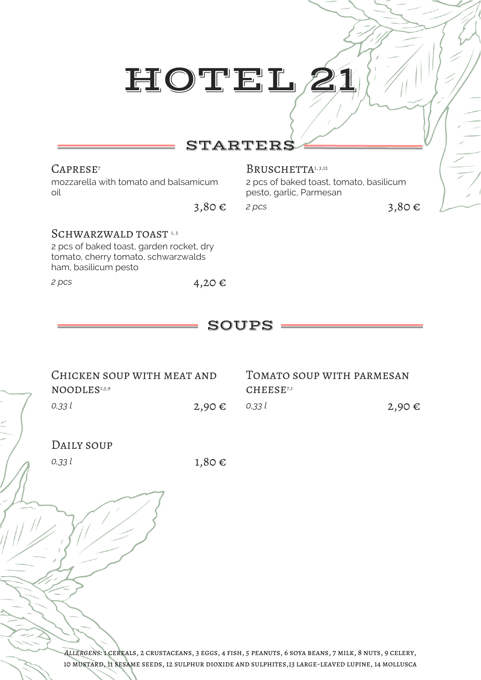## STARTERS

mozzarella with tomato and balsamicum oil

## CAPRESE<sup>7</sup> BRUSCHETTA<sup>1, 3,12</sup>

2 pcs of baked toast, tomato, basilicum pesto, garlic, Parmesan

3,80 € *2 pcs* 3,80 €

## SCHWARZWALD TOAST 1,3

2 pcs of baked toast, garden rocket, dry tomato, cherry tomato, schwarzwalds ham, basilicum pesto

## *<sup>2</sup> pcs* 4,20 €

# SOUPS

| CHICKEN SOUP WITH MEAT AND |               | TOMATO SOUP WITH PARMESAN |       |
|----------------------------|---------------|---------------------------|-------|
| NOODLES <sup>1,3,9</sup>   |               | CHEESE <sup>7,1</sup>     |       |
| 0,33 l                     | 2,90 € 0,33 l |                           | 2,90€ |

### DAILY SOUP

*0,33 l* 1,80 €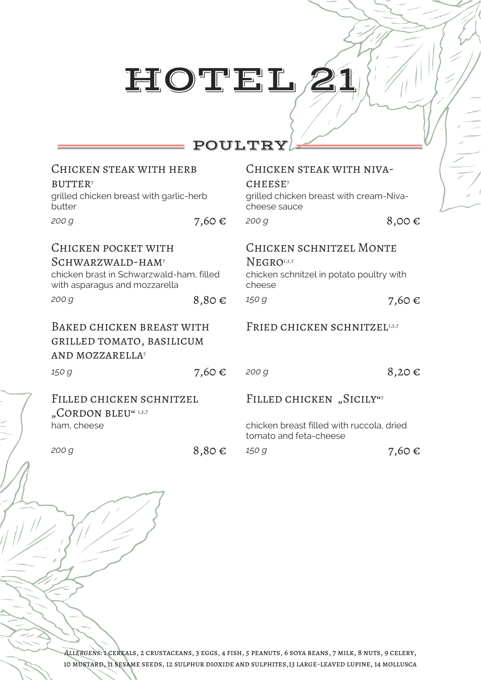# POULTRY

| CHICKEN STEAK WITH HERB                                                                                                                   |       | CHICKEN STEAK WITH NIVA-                                                                                       |       |
|-------------------------------------------------------------------------------------------------------------------------------------------|-------|----------------------------------------------------------------------------------------------------------------|-------|
| <b>BUTTER</b>                                                                                                                             |       | CHEESE <sup>7</sup>                                                                                            |       |
| grilled chicken breast with garlic-herb<br>butter                                                                                         |       | grilled chicken breast with cream-Niva-<br>cheese sauce                                                        |       |
| 200 g                                                                                                                                     | 7,60€ | 200 g                                                                                                          | 8,00€ |
| CHICKEN POCKET WITH<br>SCHWARZWALD-HAM <sup>7</sup><br>chicken brast in Schwarzwald-ham, filled<br>with asparagus and mozzarella<br>200 g |       | <b>CHICKEN SCHNITZEL MONTE</b><br>NEGRO <sup>1,3,7</sup><br>chicken schnitzel in potato poultry with<br>cheese |       |
|                                                                                                                                           | 8,80€ | 150 g                                                                                                          | 7,60€ |
|                                                                                                                                           |       |                                                                                                                |       |
| BAKED CHICKEN BREAST WITH<br>GRILLED TOMATO, BASILICUM<br>AND MOZZARELLA <sup>7</sup>                                                     |       | FRIED CHICKEN SCHNITZEL1,3,7                                                                                   |       |
| 150 g                                                                                                                                     | 7,60€ | 200 g                                                                                                          | 8,20€ |
| FILLED CHICKEN SCHNITZEL<br>"CORDON BLEU" 1,3,7                                                                                           |       | FILLED CHICKEN, SICILY"7                                                                                       |       |
| ham, cheese                                                                                                                               |       | chicken breast filled with ruccola, dried<br>tomato and feta-cheese                                            |       |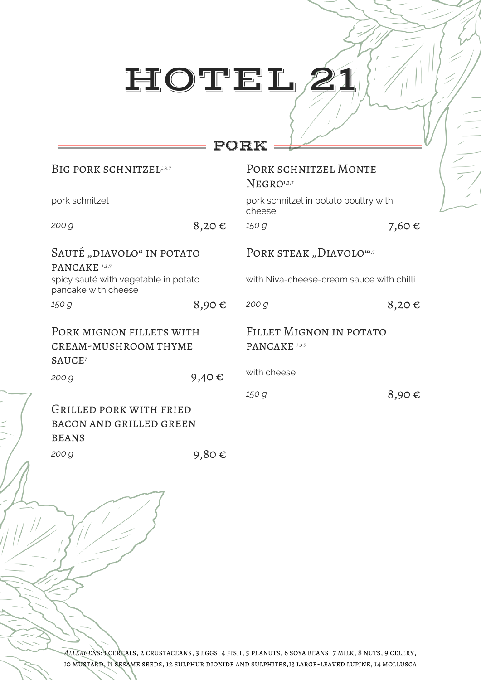## PORK

| BIG PORK SCHNITZEL1,3,7                                                       |                 | PORK SCHNITZEL MONTE<br>NEGRO <sup>1,3,7</sup>      |       |
|-------------------------------------------------------------------------------|-----------------|-----------------------------------------------------|-------|
| pork schnitzel                                                                |                 | pork schnitzel in potato poultry with<br>cheese     |       |
| 200 g                                                                         | 8,20€           | 150 g                                               | 7,60€ |
| SAUTÉ "DIAVOLO" IN POTATO<br>PANCAKE <sup>1,3,7</sup>                         |                 | PORK STEAK "DIAVOLO"1,7                             |       |
| spicy sauté with vegetable in potato<br>pancake with cheese                   |                 | with Niva-cheese-cream sauce with chilli            |       |
| 150 g                                                                         | 8,90€           | 200 <sub>q</sub>                                    | 8,20€ |
| PORK MIGNON FILLETS WITH<br><b>CREAM-MUSHROOM THYME</b><br>SAUCE <sup>7</sup> |                 | FILLET MIGNON IN POTATO<br>PANCAKE <sup>1,3,7</sup> |       |
| 200 g                                                                         | 9,40 $\epsilon$ | with cheese                                         |       |
| GRILLED PORK WITH FRIED<br><b>BACON AND GRILLED GREEN</b><br><b>BEANS</b>     |                 | 150 g                                               | 8,90€ |

200 *g* 9,80 €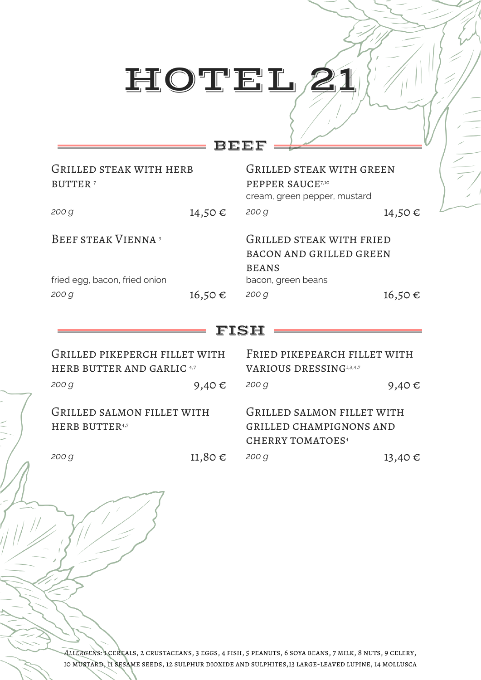## BEEF

| GRILLED STEAK WITH HERB<br><b>BUTTER</b> <sup>7</sup>                 |             | <b>GRILLED STEAK WITH GREEN</b><br>PEPPER SAUCE7,10<br>cream, green pepper, mustard              |        |
|-----------------------------------------------------------------------|-------------|--------------------------------------------------------------------------------------------------|--------|
| 200 g                                                                 | 14,50€      | 200 g                                                                                            | 14,50€ |
| <b>BEEF STEAK VIENNA<sup>3</sup></b><br>fried egg, bacon, fried onion |             | GRILLED STEAK WITH FRIED<br><b>BACON AND GRILLED GREEN</b><br><b>BEANS</b><br>bacon, green beans |        |
| 200 g                                                                 | $16,50 \in$ | 200 g                                                                                            | 16,50€ |
|                                                                       |             | FISH                                                                                             |        |
| GRILLED PIKEPERCH FILLET WITH<br><b>HERB BUTTER AND GARLIC 4,7</b>    |             | FRIED PIKEPEARCH FILLET WITH                                                                     |        |
|                                                                       |             | <b>VARIOUS DRESSING1,3,4,7</b>                                                                   |        |
| 200 <sub>q</sub>                                                      | 9,40 $\in$  | 200 <sub>q</sub>                                                                                 | 9,40€  |
| GRILLED SALMON FILLET WITH<br><b>HERB BUTTER4,7</b>                   |             | GRILLED SALMON FILLET WITH<br><b>GRILLED CHAMPIGNONS AND</b><br><b>CHERRY TOMATOES4</b>          |        |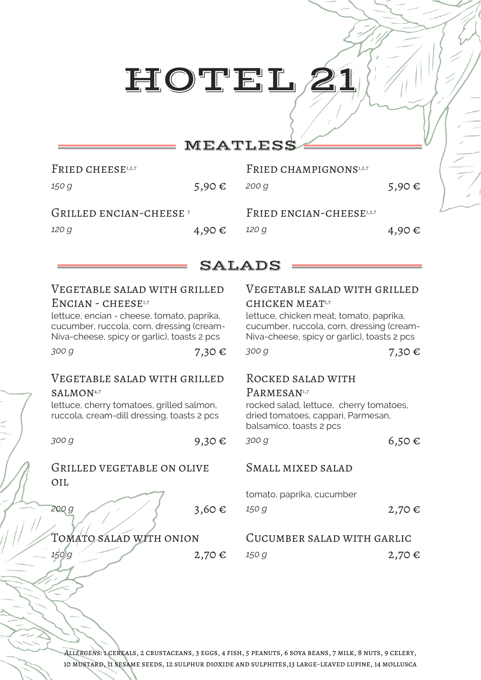# HOTHE L

## **MEATLESS**

| FRIED CHEESE1,3,7                         |        | FRIED CHAMPIGNONS <sup>1,3,7</sup> |        |
|-------------------------------------------|--------|------------------------------------|--------|
| 150 g                                     | 5,90 € | 200 g                              | 5,90 € |
|                                           |        |                                    |        |
| <b>GRILLED ENCIAN-CHEESE</b> <sup>7</sup> |        | FRIED ENCIAN-CHEESE1,3,7           |        |

## SALADS

## Vegetable salad with grilled  $ENCIAN - CHEESE<sup>1,7</sup>$

lettuce, encian - cheese, tomato, paprika, cucumber, ruccola, corn, dressing (cream-Niva-cheese, spicy or garlic), toasts 2 pcs

*zoo g* 7,30 € *300 g* 7,30 € 7,30 €

### Vegetable salad with grilled SALMON<sup>4,7</sup>

lettuce, cherry tomatoes, grilled salmon, ruccola, cream-dill dressing, toasts 2 pcs

Grilled vegetable on olive oil

## Vegetable salad with grilled CHICKEN MEAT1,7

lettuce, chicken meat, tomato, paprika, cucumber, ruccola, corn, dressing (cream-Niva-cheese, spicy or garlic), toasts 2 pcs

## Rocked salad with

### PARMESAN<sup>1,7</sup>

rocked salad, lettuce, cherry tomatoes, dried tomatoes, cappari, Parmesan, balsamico, toasts 2 pcs

*300 g* 6,50 € 300 *g* 6,50 €

## Small mixed salad

tomato, paprika, cucumber

200*g* 3,60 € 150 g 2,70 €

## Tomato salad with onion Cucumber salad with garlic

**150** g 2,70 € 150 g 2,70 € 2,70 €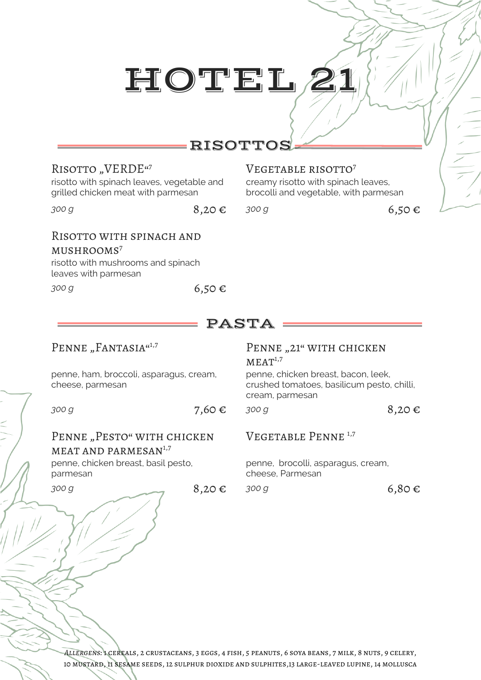# **RISOTTO**

### RISOTTO "VERDE"7 7 **VEGETABLE RISOTTO**

risotto with spinach leaves, vegetable and grilled chicken meat with parmesan

*300 g* 6,50 € 300 *g* 6,50 €

## Risotto with spinach and

### $MUSH$ ROOMS<sup>7</sup>

risotto with mushrooms and spinach leaves with parmesan

*300 g* 6,50 €

## PASTA

## PENNE "FANTASIA"<sup>1,7</sup>

penne, ham, broccoli, asparagus, cream, cheese, parmesan

*300 g* 8,20 € 7,60 € 300 *g* 8,20 €

PENNE "PESTO" WITH CHICKEN MEAT AND PARMESAN<sup>1,7</sup>

penne, chicken breast, basil pesto, parmesan

## PENNE "21" WITH CHICKEN  $MEAT<sup>1,7</sup>$

creamy risotto with spinach leaves, brocolli and vegetable, with parmesan

penne, chicken breast, bacon, leek, crushed tomatoes, basilicum pesto, chilli, cream, parmesan

## Vegetable Penne 1,7

penne, brocolli, asparagus, cream, cheese, Parmesan

*300 g* 8,20 € *300 g* 6,80 €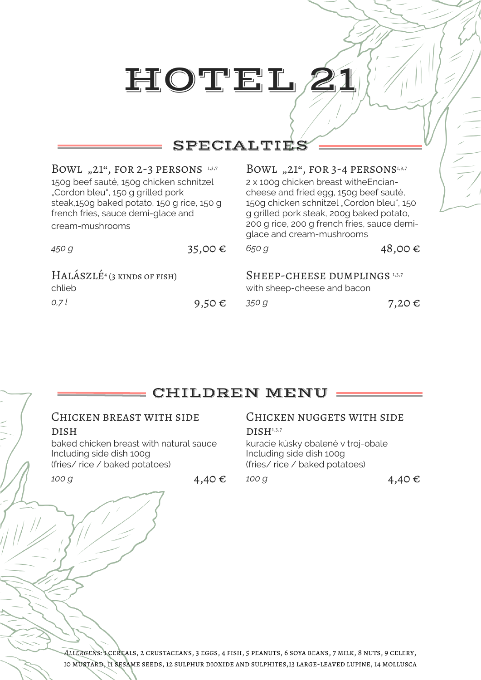## SPECIALTIES

### BOWL "21", FOR 2-3 PERSONS<sup>1,3,7</sup> BOWL "21", FOR 3-4 PERSONS<sup>1,3,7</sup>

150g beef sauté, 150g chicken schnitzel "Cordon bleu", 150 g grilled pork steak,150g baked potato, 150 g rice, 150 g french fries, sauce demi-glace and cream-mushrooms

# 2 x 100g chicken breast witheEncian-

cheese and fried egg, 150g beef sauté, 150g chicken schnitzel "Cordon bleu", 150 g grilled pork steak, 200g baked potato, 200 g rice, 200 g french fries, sauce demiglace and cream-mushrooms

| 450 g                                   | 35,00 €         | 650 g                                                       | 48,00€     |
|-----------------------------------------|-----------------|-------------------------------------------------------------|------------|
| $HALÁSZLÉ4 (3 KINDS OF FISH)$<br>chlieb |                 | SHEEP-CHEESE DUMPLINGS 1,3,7<br>with sheep-cheese and bacon |            |
| 0.7 l                                   | 9,50 $\epsilon$ | 350 G                                                       | 7,20 $\in$ |

## CHILDREN MENU

### Chicken breast with side **DISH**

baked chicken breast with natural sauce Including side dish 100g (fries/ rice / baked potatoes)

## CHICKEN NUGGETS WITH SIDE

### $DISH<sup>1,3,7</sup>$

kuracie kúsky obalené v troj-obale Including side dish 100g (fries/ rice / baked potatoes)

*100 g* **g** 4,40 € *100 g* 4,40 €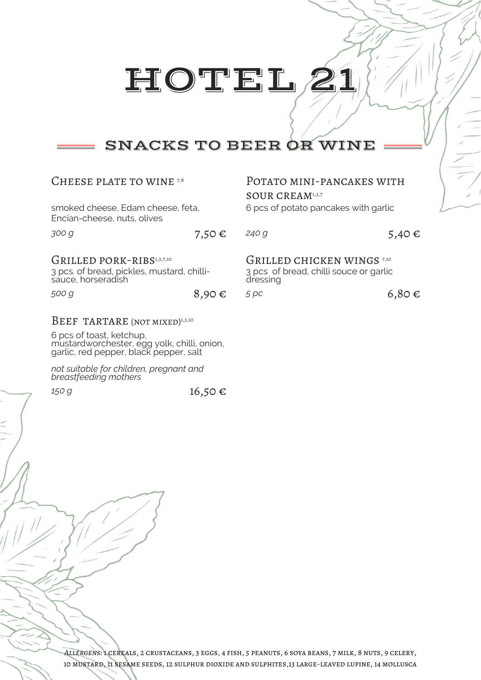# SNACKS TO BEER OR WINE

| CHEESE PLATE TO WINE 7,8                                                                      |            | POTATO MINI-PANCAKES WITH<br>SOUR CREAM1,3,7                                                |            |
|-----------------------------------------------------------------------------------------------|------------|---------------------------------------------------------------------------------------------|------------|
| smoked cheese, Edam cheese, feta,<br>Encian-cheese, nuts, olives                              |            | 6 pcs of potato pancakes with garlic                                                        |            |
| 300 g                                                                                         | 7,50 $\in$ | 240 g                                                                                       | 5,40 $\in$ |
| GRILLED PORK-RIBS1,3,7,10<br>3 pcs. of bread, pickles, mustard, chilli-<br>sauce, horseradish |            | GRILLED CHICKEN WINGS <sup>7,10</sup><br>3 pcs of bread, chilli souce or garlic<br>dressing |            |
| 500 g                                                                                         | $8,90 \in$ | 5pc                                                                                         | $6,80 \in$ |
| BEEF TARTARE (NOT MIXED) <sup>1,3,10</sup>                                                    |            |                                                                                             |            |
| 6 pcs of toast, ketchup,<br>mustardworchostor ogg volk chilli onion                           |            |                                                                                             |            |

mustardworchester, egg yolk, chilli, onion, garlic, red pepper, black pepper, salt

*not suitable for children, pregnant and breastfeeding mothers*

*150 g* 16,50 €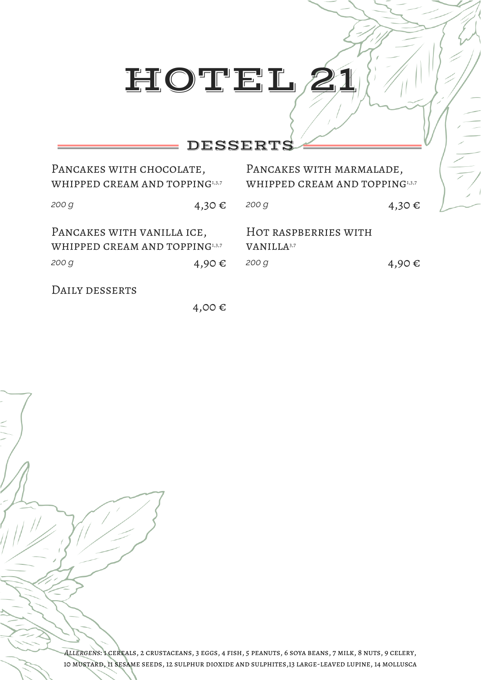## DESSERTS

| PANCAKES WITH CHOCOLATE,<br>WHIPPED CREAM AND TOPPING1,3,7            |       | PANCAKES WITH MARMALADE,<br>WHIPPED CREAM AND TOPPING1,3,7 |       |  |
|-----------------------------------------------------------------------|-------|------------------------------------------------------------|-------|--|
| 200 g                                                                 | 4,30€ | 200 g                                                      | 4,30€ |  |
| PANCAKES WITH VANILLA ICE,<br>WHIPPED CREAM AND TOPPING1,3,7<br>200 g | 4,90€ | HOT RASPBERRIES WITH<br>VANILLA <sup>3,7</sup><br>200 g    | 4,90€ |  |

DAILY DESSERTS

4,00 €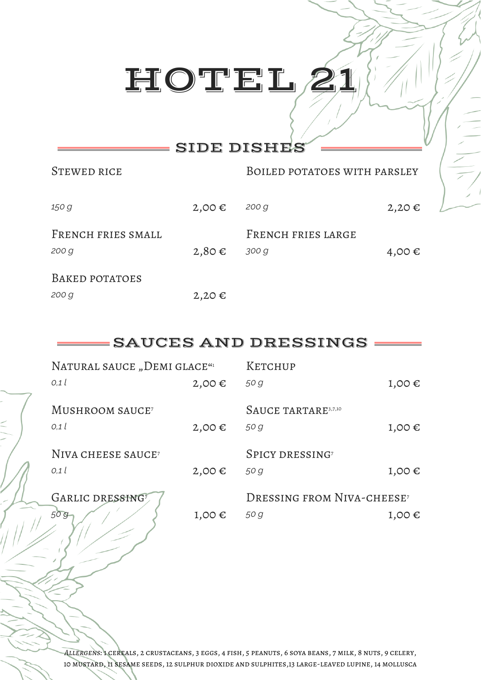## SIDE DISHES

| STEWED RICE                 |            | BOILED POTATOES WITH PARSLEY |            |
|-----------------------------|------------|------------------------------|------------|
| 150 g                       | $2,00 \in$ | 200 g                        | $2,20 \in$ |
| FRENCH FRIES SMALL<br>200 g | $2,80 \in$ | FRENCH FRIES LARGE<br>300 g  | 4,00€      |
| BAKED POTATOES              |            |                              |            |
| 200 g                       | $2,20 \in$ |                              |            |

## SAUCES AND DRESSINGS

| NATURAL SAUCE "DEMI GLACE"     |                 | KETCHUP                                      |            |
|--------------------------------|-----------------|----------------------------------------------|------------|
| 0.1l                           | $2,00 \in$      | 50 g                                         | $1,00 \in$ |
| MUSHROOM SAUCE <sup>7</sup>    |                 | SAUCE TARTARE <sup>3,7,10</sup>              |            |
| 0,1                            | $2,00 \in$      | 50 g                                         | $1,00 \in$ |
| NIVA CHEESE SAUCE <sup>7</sup> |                 | SPICY DRESSING <sup>7</sup>                  |            |
| 0,1                            | $2,00 \in$      | 50 g                                         | $1,00 \in$ |
| GARLIC DRESSING?               |                 | <b>DRESSING FROM NIVA-CHEESE<sup>7</sup></b> |            |
| 50g                            | 1,00 $\epsilon$ | 50 g                                         | $1,00 \in$ |